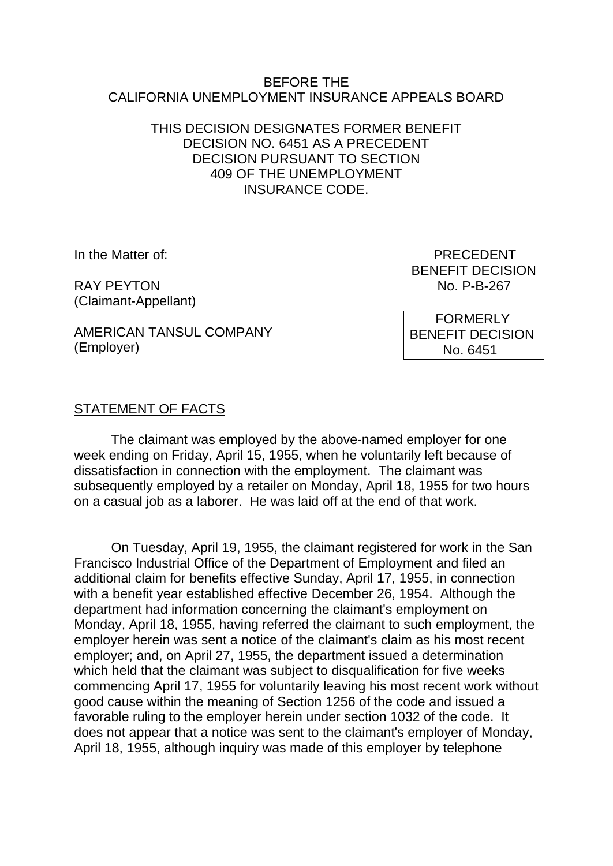#### BEFORE THE CALIFORNIA UNEMPLOYMENT INSURANCE APPEALS BOARD

#### THIS DECISION DESIGNATES FORMER BENEFIT DECISION NO. 6451 AS A PRECEDENT DECISION PURSUANT TO SECTION 409 OF THE UNEMPLOYMENT INSURANCE CODE.

RAY PEYTON NO. P-B-267 (Claimant-Appellant)

In the Matter of: **PRECEDENT** BENEFIT DECISION

AMERICAN TANSUL COMPANY (Employer)

 FORMERLY BENEFIT DECISION No. 6451

### STATEMENT OF FACTS

The claimant was employed by the above-named employer for one week ending on Friday, April 15, 1955, when he voluntarily left because of dissatisfaction in connection with the employment. The claimant was subsequently employed by a retailer on Monday, April 18, 1955 for two hours on a casual job as a laborer. He was laid off at the end of that work.

On Tuesday, April 19, 1955, the claimant registered for work in the San Francisco Industrial Office of the Department of Employment and filed an additional claim for benefits effective Sunday, April 17, 1955, in connection with a benefit year established effective December 26, 1954. Although the department had information concerning the claimant's employment on Monday, April 18, 1955, having referred the claimant to such employment, the employer herein was sent a notice of the claimant's claim as his most recent employer; and, on April 27, 1955, the department issued a determination which held that the claimant was subject to disqualification for five weeks commencing April 17, 1955 for voluntarily leaving his most recent work without good cause within the meaning of Section 1256 of the code and issued a favorable ruling to the employer herein under section 1032 of the code. It does not appear that a notice was sent to the claimant's employer of Monday, April 18, 1955, although inquiry was made of this employer by telephone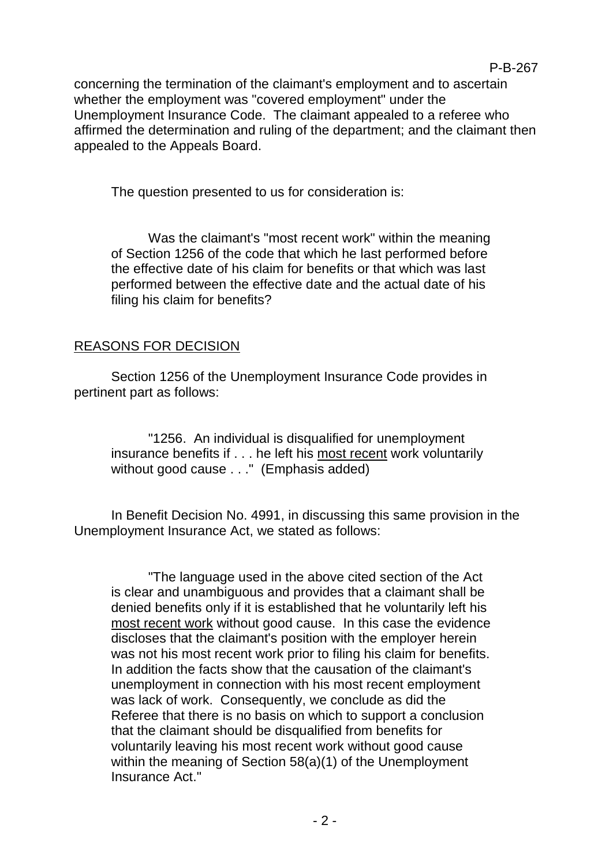concerning the termination of the claimant's employment and to ascertain whether the employment was "covered employment" under the Unemployment Insurance Code. The claimant appealed to a referee who affirmed the determination and ruling of the department; and the claimant then appealed to the Appeals Board.

The question presented to us for consideration is:

Was the claimant's "most recent work" within the meaning of Section 1256 of the code that which he last performed before the effective date of his claim for benefits or that which was last performed between the effective date and the actual date of his filing his claim for benefits?

## REASONS FOR DECISION

Section 1256 of the Unemployment Insurance Code provides in pertinent part as follows:

"1256. An individual is disqualified for unemployment insurance benefits if . . . he left his most recent work voluntarily without good cause . . ." (Emphasis added)

In Benefit Decision No. 4991, in discussing this same provision in the Unemployment Insurance Act, we stated as follows:

"The language used in the above cited section of the Act is clear and unambiguous and provides that a claimant shall be denied benefits only if it is established that he voluntarily left his most recent work without good cause. In this case the evidence discloses that the claimant's position with the employer herein was not his most recent work prior to filing his claim for benefits. In addition the facts show that the causation of the claimant's unemployment in connection with his most recent employment was lack of work. Consequently, we conclude as did the Referee that there is no basis on which to support a conclusion that the claimant should be disqualified from benefits for voluntarily leaving his most recent work without good cause within the meaning of Section 58(a)(1) of the Unemployment Insurance Act."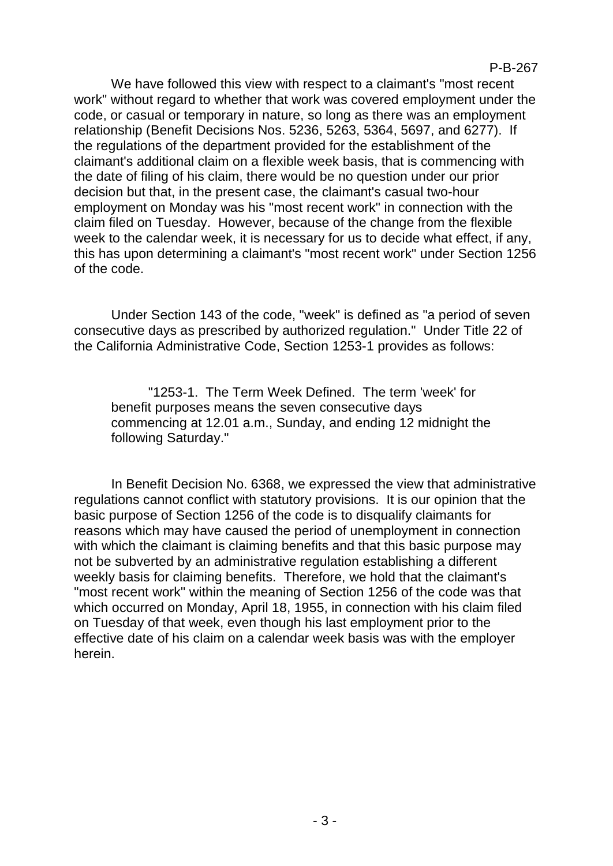We have followed this view with respect to a claimant's "most recent work" without regard to whether that work was covered employment under the code, or casual or temporary in nature, so long as there was an employment relationship (Benefit Decisions Nos. 5236, 5263, 5364, 5697, and 6277). If the regulations of the department provided for the establishment of the claimant's additional claim on a flexible week basis, that is commencing with the date of filing of his claim, there would be no question under our prior decision but that, in the present case, the claimant's casual two-hour employment on Monday was his "most recent work" in connection with the claim filed on Tuesday. However, because of the change from the flexible week to the calendar week, it is necessary for us to decide what effect, if any, this has upon determining a claimant's "most recent work" under Section 1256 of the code.

Under Section 143 of the code, "week" is defined as "a period of seven consecutive days as prescribed by authorized regulation." Under Title 22 of the California Administrative Code, Section 1253-1 provides as follows:

"1253-1. The Term Week Defined. The term 'week' for benefit purposes means the seven consecutive days commencing at 12.01 a.m., Sunday, and ending 12 midnight the following Saturday."

In Benefit Decision No. 6368, we expressed the view that administrative regulations cannot conflict with statutory provisions. It is our opinion that the basic purpose of Section 1256 of the code is to disqualify claimants for reasons which may have caused the period of unemployment in connection with which the claimant is claiming benefits and that this basic purpose may not be subverted by an administrative regulation establishing a different weekly basis for claiming benefits. Therefore, we hold that the claimant's "most recent work" within the meaning of Section 1256 of the code was that which occurred on Monday, April 18, 1955, in connection with his claim filed on Tuesday of that week, even though his last employment prior to the effective date of his claim on a calendar week basis was with the employer herein.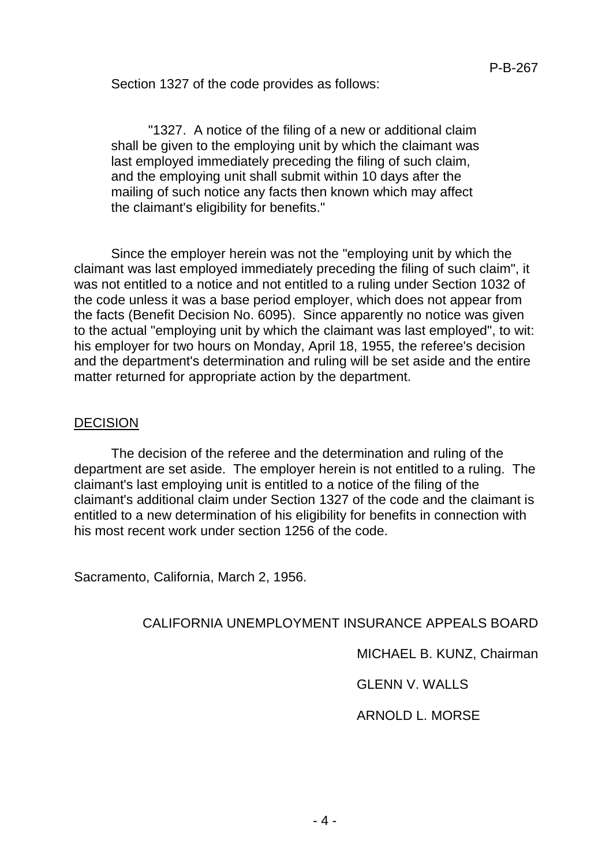Section 1327 of the code provides as follows:

"1327. A notice of the filing of a new or additional claim shall be given to the employing unit by which the claimant was last employed immediately preceding the filing of such claim, and the employing unit shall submit within 10 days after the mailing of such notice any facts then known which may affect the claimant's eligibility for benefits."

Since the employer herein was not the "employing unit by which the claimant was last employed immediately preceding the filing of such claim", it was not entitled to a notice and not entitled to a ruling under Section 1032 of the code unless it was a base period employer, which does not appear from the facts (Benefit Decision No. 6095). Since apparently no notice was given to the actual "employing unit by which the claimant was last employed", to wit: his employer for two hours on Monday, April 18, 1955, the referee's decision and the department's determination and ruling will be set aside and the entire matter returned for appropriate action by the department.

### DECISION

The decision of the referee and the determination and ruling of the department are set aside. The employer herein is not entitled to a ruling. The claimant's last employing unit is entitled to a notice of the filing of the claimant's additional claim under Section 1327 of the code and the claimant is entitled to a new determination of his eligibility for benefits in connection with his most recent work under section 1256 of the code.

Sacramento, California, March 2, 1956.

### CALIFORNIA UNEMPLOYMENT INSURANCE APPEALS BOARD

MICHAEL B. KUNZ, Chairman

GLENN V. WALLS

ARNOLD L. MORSE